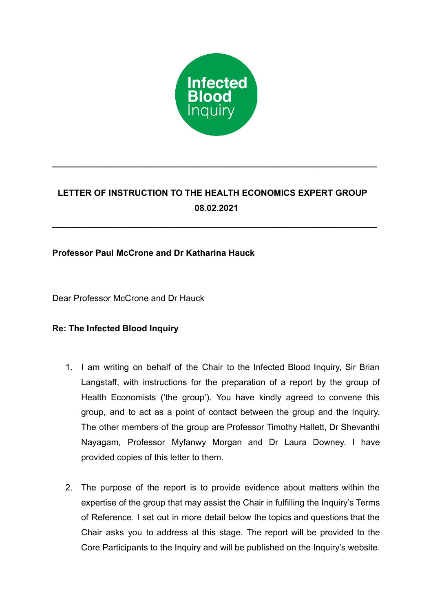

# **LETTER OF INSTRUCTION TO THE HEALTH ECONOMICS EXPERT GROUP 08.02.2021**

**\_\_\_\_\_\_\_\_\_\_\_\_\_\_\_\_\_\_\_\_\_\_\_\_\_\_\_\_\_\_\_\_\_\_\_\_\_\_\_\_\_\_\_\_\_\_\_\_\_\_\_\_\_\_\_\_\_\_\_\_\_\_\_\_\_\_\_**

**\_\_\_\_\_\_\_\_\_\_\_\_\_\_\_\_\_\_\_\_\_\_\_\_\_\_\_\_\_\_\_\_\_\_\_\_\_\_\_\_\_\_\_\_\_\_\_\_\_\_\_\_\_\_\_\_\_\_\_\_\_\_\_\_\_\_\_**

# **Professor Paul McCrone and Dr Katharina Hauck**

Dear Professor McCrone and Dr Hauck

## **Re: The Infected Blood Inquiry**

- 1. I am writing on behalf of the Chair to the Infected Blood Inquiry, Sir Brian Langstaff, with instructions for the preparation of a report by the group of Health Economists ('the group'). You have kindly agreed to convene this group, and to act as a point of contact between the group and the Inquiry. The other members of the group are Professor Timothy Hallett, Dr Shevanthi Nayagam, Professor Myfanwy Morgan and Dr Laura Downey. I have provided copies of this letter to them.
- 2. The purpose of the report is to provide evidence about matters within the expertise of the group that may assist the Chair in fulfilling the Inquiry's Terms of Reference. I set out in more detail below the topics and questions that the Chair asks you to address at this stage. The report will be provided to the Core Participants to the Inquiry and will be published on the Inquiry's website.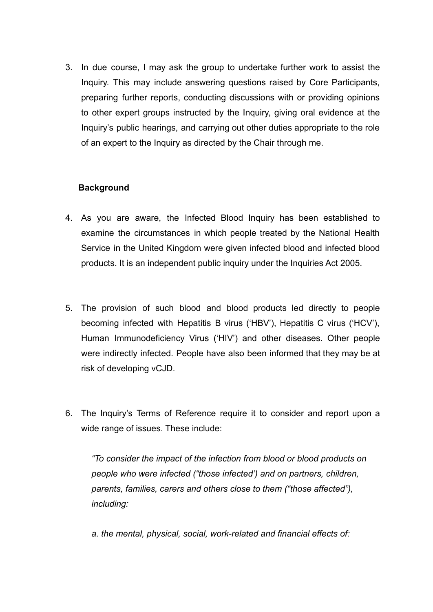3. In due course, I may ask the group to undertake further work to assist the Inquiry. This may include answering questions raised by Core Participants, preparing further reports, conducting discussions with or providing opinions to other expert groups instructed by the Inquiry, giving oral evidence at the Inquiry's public hearings, and carrying out other duties appropriate to the role of an expert to the Inquiry as directed by the Chair through me.

### **Background**

- 4. As you are aware, the Infected Blood Inquiry has been established to examine the circumstances in which people treated by the National Health Service in the United Kingdom were given infected blood and infected blood products. It is an independent public inquiry under the Inquiries Act 2005.
- 5. The provision of such blood and blood products led directly to people becoming infected with Hepatitis B virus ('HBV'), Hepatitis C virus ('HCV'), Human Immunodeficiency Virus ('HIV') and other diseases. Other people were indirectly infected. People have also been informed that they may be at risk of developing vCJD.
- 6. The Inquiry's Terms of Reference require it to consider and report upon a wide range of issues. These include:

*"To consider the impact of the infection from blood or blood products on people who were infected ("those infected') and on partners, children, parents, families, carers and others close to them ("those affected"), including:*

*a. the mental, physical, social, work-related and financial effects of:*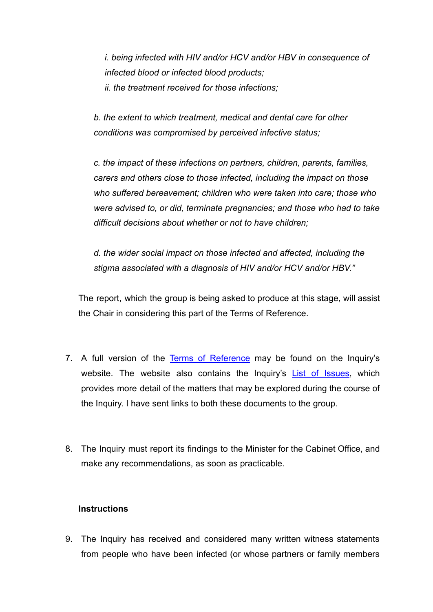*i. being infected with HIV and/or HCV and/or HBV in consequence of infected blood or infected blood products; ii. the treatment received for those infections;*

*b. the extent to which treatment, medical and dental care for other conditions was compromised by perceived infective status;*

*c. the impact of these infections on partners, children, parents, families, carers and others close to those infected, including the impact on those who suffered bereavement; children who were taken into care; those who were advised to, or did, terminate pregnancies; and those who had to take difficult decisions about whether or not to have children;*

*d. the wider social impact on those infected and affected, including the stigma associated with a diagnosis of HIV and/or HCV and/or HBV."*

The report, which the group is being asked to produce at this stage, will assist the Chair in considering this part of the Terms of Reference.

- 7. A full version of the Terms of [Reference](https://www.infectedbloodinquiry.org.uk/terms-reference) may be found on the Inquiry's website. The website also contains the Inquiry's List of [Issues](https://www.infectedbloodinquiry.org.uk/list-issues), which provides more detail of the matters that may be explored during the course of the Inquiry. I have sent links to both these documents to the group.
- 8. The Inquiry must report its findings to the Minister for the Cabinet Office, and make any recommendations, as soon as practicable.

#### **Instructions**

9. The Inquiry has received and considered many written witness statements from people who have been infected (or whose partners or family members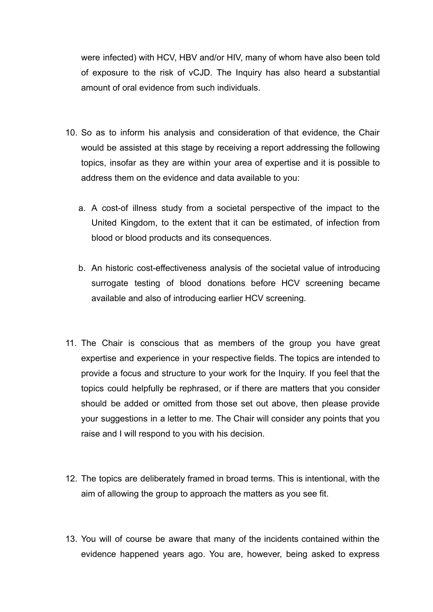were infected) with HCV, HBV and/or HIV, many of whom have also been told of exposure to the risk of vCJD. The Inquiry has also heard a substantial amount of oral evidence from such individuals.

- 10. So as to inform his analysis and consideration of that evidence, the Chair would be assisted at this stage by receiving a report addressing the following topics, insofar as they are within your area of expertise and it is possible to address them on the evidence and data available to you:
	- a. A cost-of illness study from a societal perspective of the impact to the United Kingdom, to the extent that it can be estimated, of infection from blood or blood products and its consequences.
	- b. An historic cost-effectiveness analysis of the societal value of introducing surrogate testing of blood donations before HCV screening became available and also of introducing earlier HCV screening.
- 11. The Chair is conscious that as members of the group you have great expertise and experience in your respective fields. The topics are intended to provide a focus and structure to your work for the Inquiry. If you feel that the topics could helpfully be rephrased, or if there are matters that you consider should be added or omitted from those set out above, then please provide your suggestions in a letter to me. The Chair will consider any points that you raise and I will respond to you with his decision.
- 12. The topics are deliberately framed in broad terms. This is intentional, with the aim of allowing the group to approach the matters as you see fit.
- 13. You will of course be aware that many of the incidents contained within the evidence happened years ago. You are, however, being asked to express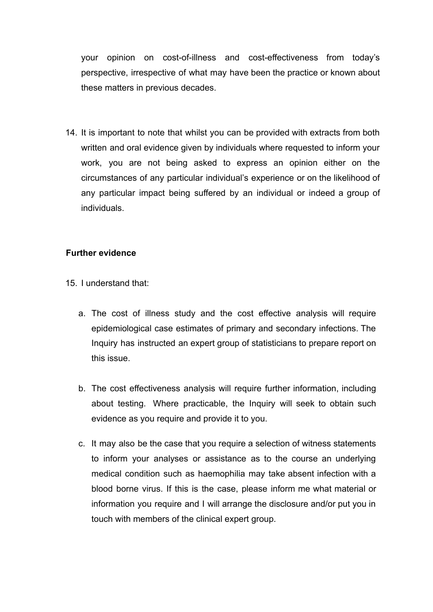your opinion on cost-of-illness and cost-effectiveness from today's perspective, irrespective of what may have been the practice or known about these matters in previous decades.

14. It is important to note that whilst you can be provided with extracts from both written and oral evidence given by individuals where requested to inform your work, you are not being asked to express an opinion either on the circumstances of any particular individual's experience or on the likelihood of any particular impact being suffered by an individual or indeed a group of individuals.

### **Further evidence**

- 15. I understand that:
	- a. The cost of illness study and the cost effective analysis will require epidemiological case estimates of primary and secondary infections. The Inquiry has instructed an expert group of statisticians to prepare report on this issue.
	- b. The cost effectiveness analysis will require further information, including about testing. Where practicable, the Inquiry will seek to obtain such evidence as you require and provide it to you.
	- c. It may also be the case that you require a selection of witness statements to inform your analyses or assistance as to the course an underlying medical condition such as haemophilia may take absent infection with a blood borne virus. If this is the case, please inform me what material or information you require and I will arrange the disclosure and/or put you in touch with members of the clinical expert group.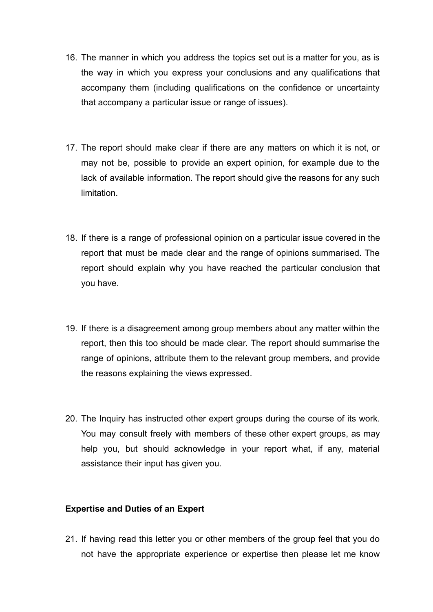- 16. The manner in which you address the topics set out is a matter for you, as is the way in which you express your conclusions and any qualifications that accompany them (including qualifications on the confidence or uncertainty that accompany a particular issue or range of issues).
- 17. The report should make clear if there are any matters on which it is not, or may not be, possible to provide an expert opinion, for example due to the lack of available information. The report should give the reasons for any such limitation.
- 18. If there is a range of professional opinion on a particular issue covered in the report that must be made clear and the range of opinions summarised. The report should explain why you have reached the particular conclusion that you have.
- 19. If there is a disagreement among group members about any matter within the report, then this too should be made clear. The report should summarise the range of opinions, attribute them to the relevant group members, and provide the reasons explaining the views expressed.
- 20. The Inquiry has instructed other expert groups during the course of its work. You may consult freely with members of these other expert groups, as may help you, but should acknowledge in your report what, if any, material assistance their input has given you.

#### **Expertise and Duties of an Expert**

21. If having read this letter you or other members of the group feel that you do not have the appropriate experience or expertise then please let me know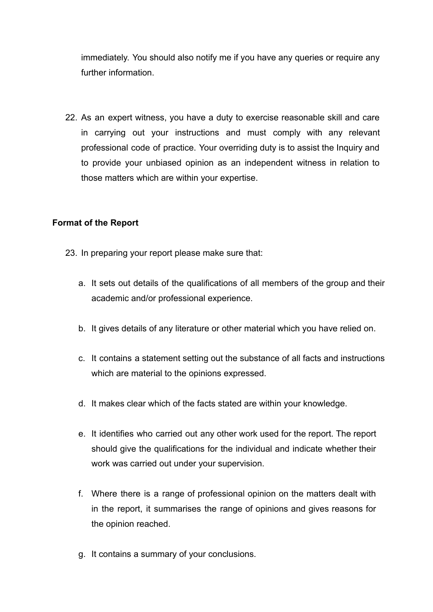immediately. You should also notify me if you have any queries or require any further information.

22. As an expert witness, you have a duty to exercise reasonable skill and care in carrying out your instructions and must comply with any relevant professional code of practice. Your overriding duty is to assist the Inquiry and to provide your unbiased opinion as an independent witness in relation to those matters which are within your expertise.

### **Format of the Report**

- 23. In preparing your report please make sure that:
	- a. It sets out details of the qualifications of all members of the group and their academic and/or professional experience.
	- b. It gives details of any literature or other material which you have relied on.
	- c. It contains a statement setting out the substance of all facts and instructions which are material to the opinions expressed.
	- d. It makes clear which of the facts stated are within your knowledge.
	- e. It identifies who carried out any other work used for the report. The report should give the qualifications for the individual and indicate whether their work was carried out under your supervision.
	- f. Where there is a range of professional opinion on the matters dealt with in the report, it summarises the range of opinions and gives reasons for the opinion reached.
	- g. It contains a summary of your conclusions.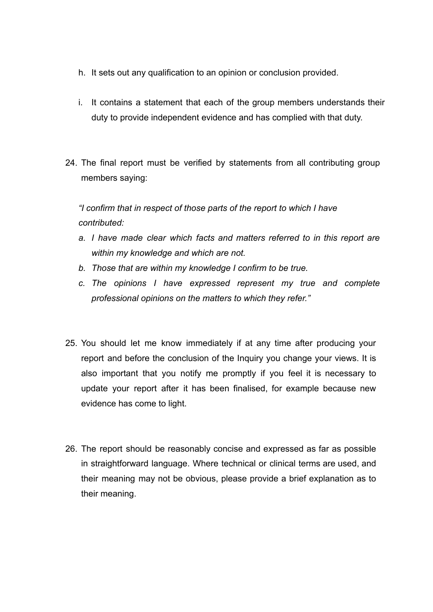- h. It sets out any qualification to an opinion or conclusion provided.
- i. It contains a statement that each of the group members understands their duty to provide independent evidence and has complied with that duty.
- 24. The final report must be verified by statements from all contributing group members saying:

*"I confirm that in respect of those parts of the report to which I have contributed:*

- *a. I have made clear which facts and matters referred to in this report are within my knowledge and which are not.*
- *b. Those that are within my knowledge I confirm to be true.*
- *c. The opinions I have expressed represent my true and complete professional opinions on the matters to which they refer."*
- 25. You should let me know immediately if at any time after producing your report and before the conclusion of the Inquiry you change your views. It is also important that you notify me promptly if you feel it is necessary to update your report after it has been finalised, for example because new evidence has come to light.
- 26. The report should be reasonably concise and expressed as far as possible in straightforward language. Where technical or clinical terms are used, and their meaning may not be obvious, please provide a brief explanation as to their meaning.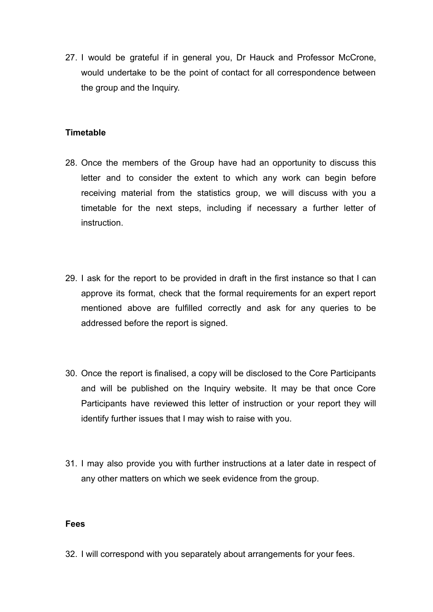27. I would be grateful if in general you, Dr Hauck and Professor McCrone, would undertake to be the point of contact for all correspondence between the group and the Inquiry.

#### **Timetable**

- 28. Once the members of the Group have had an opportunity to discuss this letter and to consider the extent to which any work can begin before receiving material from the statistics group, we will discuss with you a timetable for the next steps, including if necessary a further letter of instruction.
- 29. I ask for the report to be provided in draft in the first instance so that I can approve its format, check that the formal requirements for an expert report mentioned above are fulfilled correctly and ask for any queries to be addressed before the report is signed.
- 30. Once the report is finalised, a copy will be disclosed to the Core Participants and will be published on the Inquiry website. It may be that once Core Participants have reviewed this letter of instruction or your report they will identify further issues that I may wish to raise with you.
- 31. I may also provide you with further instructions at a later date in respect of any other matters on which we seek evidence from the group.

#### **Fees**

32. I will correspond with you separately about arrangements for your fees.